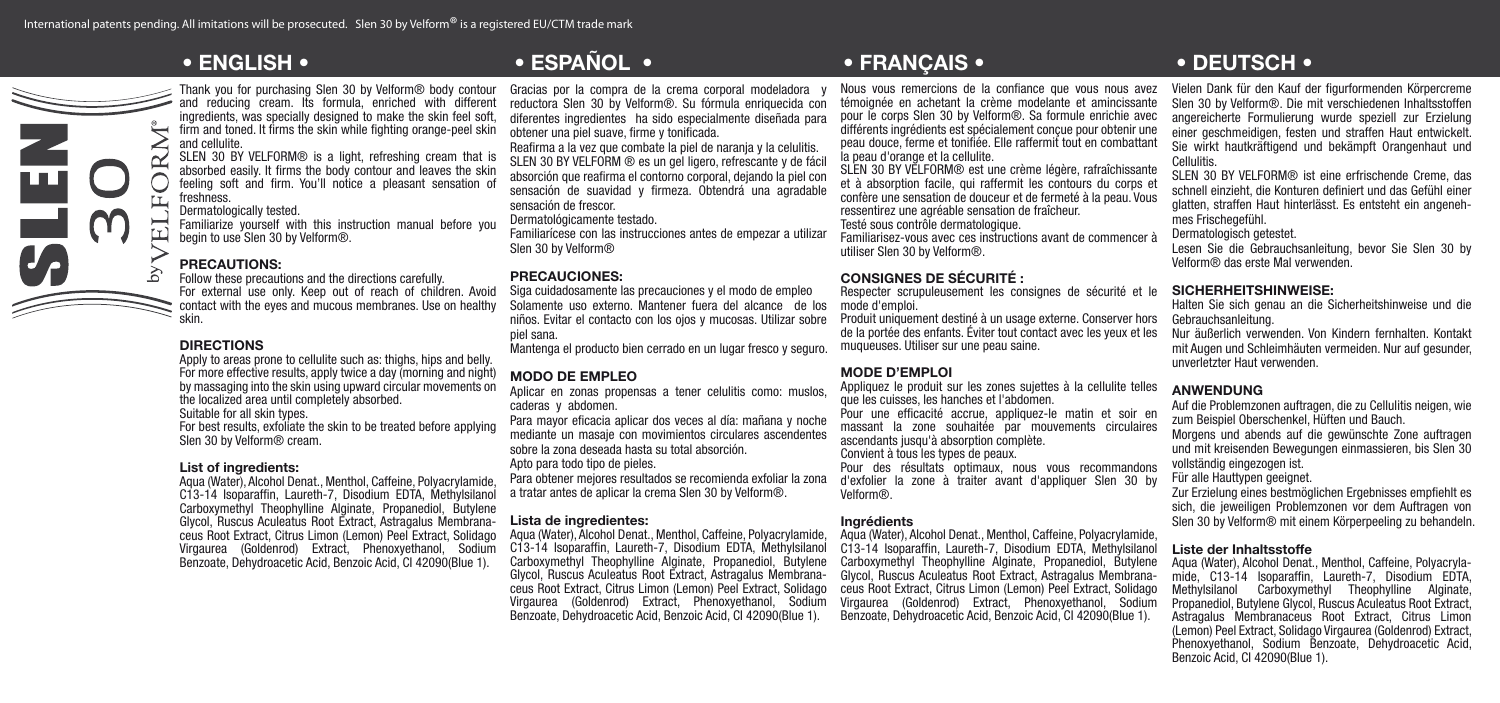

Thank you for purchasing Slen 30 by Velform® body contour and reducing cream. Its formula, enriched with different ingredients, was specially designed to make the skin feel soft. firm and toned. It firms the skin while fighting orange-peel skin and cellulite.

SLEN 30 BY VELFORM<sup>®</sup> is a light, refreshing cream that is absorbed easily. It firms the body contour and leaves the skin feeling soft and firm. You'll notice a pleasant sensation of freshness.

Dermatologically tested.

Familiarize yourself with this instruction manual before you begin to use Slen 30 by Velform®.

# PRECAUTIONS:

Follow these precautions and the directions carefully. For external use only. Keep out of reach of children. Avoid contact with the eyes and mucous membranes. Use on healthy skin.

# DIRECTIONS

Apply to areas prone to cellulite such as: thighs, hips and belly. For more effective results, apply twice a day (morning and night) by massaging into the skin using upward circular movements on the localized area until completely absorbed. Suitable for all skin types.

For best results, exfoliate the skin to be treated before applying Slen 30 by Velform<sup>®</sup> cream.

### List of ingredients:

Aqua (Water), Alcohol Denat., Menthol, Caffeine, Polyacrylamide, C13-14 Isoparaffin, Laureth-7, Disodium EDTA, Methylsilanol Carboxymethyl Theophylline Alginate, Propanediol, Butylene Glycol, Ruscus Aculeatus Root Extract, Astragalus Membranaceus Root Extract, Citrus Limon (Lemon) Peel Extract, Solidago Virgaurea (Goldenrod) Extract, Phenoxyethanol, Sodium Benzoate, Dehydroacetic Acid, Benzoic Acid, CI 42090(Blue 1).

Gracias por la compra de la crema corporal modeladora y reductora Slen 30 by Velform®. Su fórmula enriquecida con diferentes ingredientes ha sido especialmente diseñada para obtener una piel suave, firme y tonificada.

Reafirma a la vez que combate la piel de naranja y la celulitis. SLEN 30 BY VELFORM ® es un gel ligero, refrescante y de fácil absorción que reafirma el contorno corporal, dejando la piel con sensación de suavidad y firmeza. Obtendrá una agradable sensación de frescor.

Dermatológicamente testado.

Familiarícese con las instrucciones antes de empezar a utilizar Slen 30 by Velform®

# PRECAUCIONES:

Siga cuidadosamente las precauciones y el modo de empleo Solamente uso externo. Mantener fuera del alcance de los niños. Evitar el contacto con los ojos y mucosas. Utilizar sobre piel sana.

Mantenga el producto bien cerrado en un lugar fresco y seguro.

# MODO DE EMPLEO

Aplicar en zonas propensas a tener celulitis como: muslos, caderas y abdomen.

Para mayor eficacia aplicar dos veces al día: mañana y noche mediante un masaje con movimientos circulares ascendentes sobre la zona deseada hasta su total absorción.

Apto para todo tipo de pieles.

Para obtener mejores resultados se recomienda exfoliar la zona a tratar antes de aplicar la crema Slen 30 by Velform®.

# Lista de ingredientes:

Aqua (Water), Alcohol Denat., Menthol, Caffeine, Polyacrylamide, C13-14 Isoparaffin, Laureth-7, Disodium EDTA, Methylsilanol Carboxymethyl Theophylline Alginate, Propanediol, Butylene ceus Root Extract, Citrus Limon (Lemon) Peel Extract, Solidago Virgaurea (Goldenrod) Extract, Phenoxyethanol, Sodium Benzoate, Dehydroacetic Acid, Benzoic Acid, CI 42090(Blue 1).

# • ENGLISH • • ESPAÑOL • • FRANÇAIS • • DEUTSCH •

Nous vous remercions de la confiance que vous nous avez témoignée en achetant la crème modelante et amincissante pour le corps Slen 30 by Velform®. Sa formule enrichie avec différents ingrédients est spécialement conçue pour obtenir une peau douce, ferme et tonifiée. Elle raffermit tout en combattant la peau d'orange et la cellulite.

SLEN 30 BY VELFORM® est une crème légère, rafraîchissante et à absorption facile, qui raffermit les contours du corps et confère une sensation de douceur et de fermeté à la peau. Vous ressentirez une agréable sensation de fraîcheur. Testé sous contrôle dermatologique.

Familiarisez-vous avec ces instructions avant de commencer à utiliser Slen 30 by Velform®.

# CONSIGNES DE SÉCURITÉ :

Respecter scrupuleusement les consignes de sécurité et le mode d'emploi.

Produit uniquement destiné à un usage externe. Conserver hors de la portée des enfants. Éviter tout contact avec les yeux et les muqueuses. Utiliser sur une peau saine.

# MODE D'EMPLOI

Appliquez le produit sur les zones sujettes à la cellulite telles que les cuisses, les hanches et l'abdomen.

Pour une efficacité accrue, appliquez-le matin et soir en massant la zone souhaitée par mouvements circulaires ascendants jusqu'à absorption complète.

Convient à tous les types de peaux.

Pour des résultats optimaux, nous vous recommandons d'exfolier la zone à traiter avant d'appliquer Slen 30 by Velform®.

### Ingrédients

Aqua (Water), Alcohol Denat., Menthol, Caffeine, Polyacrylamide, C13-14 Isoparaffin, Laureth-7, Disodium EDTA, Methylsilanol Carboxymethyl Theophylline Alginate, Propanediol, Butylene Glycol, Ruscus Aculeatus Root Extract, Astragalus Membrana- ceus Root Extract, Citrus Limon (Lemon) Peel Extract, Solidago Virgaurea (Goldenrod) Extract, Phenoxyethanol, Sodium Benzoate, Dehydroacetic Acid, Benzoic Acid, CI 42090(Blue 1).

Vielen Dank für den Kauf der figurformenden Körpercreme Slen 30 by Velform®. Die mit verschiedenen Inhaltsstoffen angereicherte Formulierung wurde speziell zur Erzielung einer geschmeidigen, festen und straffen Haut entwickelt. Sie wirkt hautkräftigend und bekämpft Orangenhaut und Cellulitis.

SLEN 30 BY VELFORM® ist eine erfrischende Creme, das schnell einzieht, die Konturen definiert und das Gefühl einer glatten, straffen Haut hinterlässt. Es entsteht ein angenehmes Frischegefühl.

Dermatologisch getestet.

Lesen Sie die Gebrauchsanleitung, bevor Sie Slen 30 by Velform® das erste Mal verwenden.

# SICHERHEITSHINWEISE:

Halten Sie sich genau an die Sicherheitshinweise und die Gebrauchsanleitung.

Nur äußerlich verwenden. Von Kindern fernhalten. Kontakt mit Augen und Schleimhäuten vermeiden. Nur auf gesunder, unverletzter Haut verwenden.

# ANWENDUNG

Auf die Problemzonen auftragen, die zu Cellulitis neigen, wie zum Beispiel Oberschenkel, Hüften und Bauch. Morgens und abends auf die gewünschte Zone auftragen

und mit kreisenden Bewegungen einmassieren, bis Slen 30 vollständig eingezogen ist.

Für alle Hauttypen geeignet.

Zur Erzielung eines bestmöglichen Ergebnisses empfiehlt es sich, die jeweiligen Problemzonen vor dem Auftragen von Slen 30 by Velform® mit einem Körperpeeling zu behandeln.

### Liste der Inhaltsstoffe

Aqua (Water), Alcohol Denat., Menthol, Caffeine, Polyacrylamide, C13-14 Isoparaffin, Laureth-7, Disodium EDTA, Methylsilanol Carboxymethyl Theophylline Alginate, Propanediol, Butylene Glycol, Ruscus Aculeatus Root Extract, Astragalus Membranaceus Root Extract, Citrus Limon (Lemon) Peel Extract, Solidago Virgaurea (Goldenrod) Extract, Phenoxyethanol, Sodium Benzoate, Dehydroacetic Acid, Benzoic Acid, CI 42090(Blue 1).